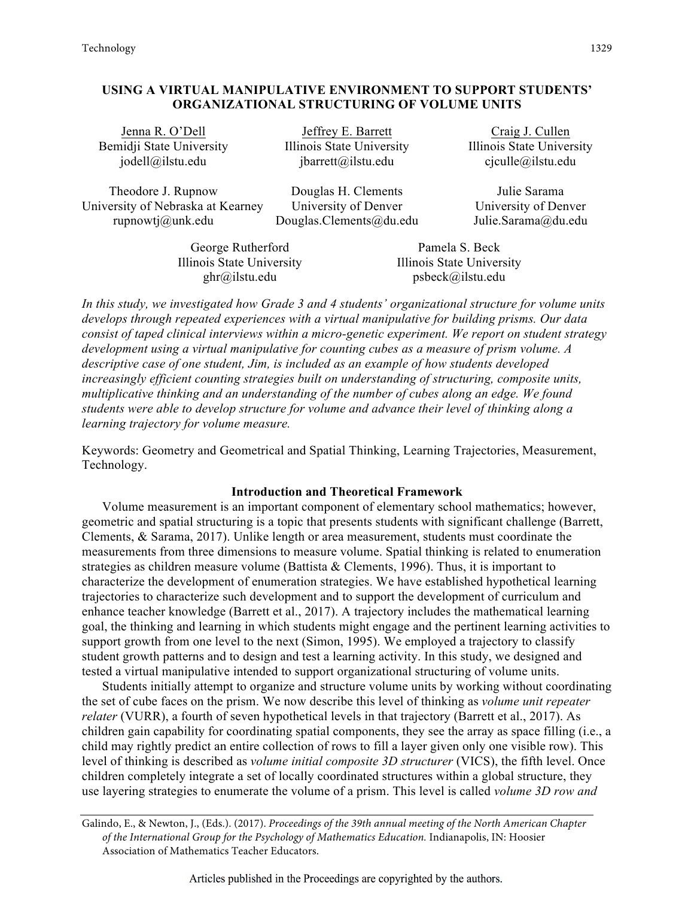# **USING A VIRTUAL MANIPULATIVE ENVIRONMENT TO SUPPORT STUDENTS' ORGANIZATIONAL STRUCTURING OF VOLUME UNITS**

Bemidji State University Illinois State University Illinois State University

Theodore J. Rupnow Douglas H. Clements Julie Sarama University of Nebraska at Kearney University of Denver University of Denver rupnowtj@unk.edu Douglas.Clements@du.edu Julie.Sarama@du.edu

Jenna R. O'Dell Jeffrey E. Barrett Craig J. Cullen

jodell@ilstu.edu jbarrett@ilstu.edu cjculle@ilstu.edu

George Rutherford Pamela S. Beck Illinois State University Illinois State University

ghr@ilstu.edu psbeck@ilstu.edu

*In this study, we investigated how Grade 3 and 4 students' organizational structure for volume units develops through repeated experiences with a virtual manipulative for building prisms. Our data consist of taped clinical interviews within a micro-genetic experiment. We report on student strategy development using a virtual manipulative for counting cubes as a measure of prism volume. A descriptive case of one student, Jim, is included as an example of how students developed increasingly efficient counting strategies built on understanding of structuring, composite units, multiplicative thinking and an understanding of the number of cubes along an edge. We found students were able to develop structure for volume and advance their level of thinking along a learning trajectory for volume measure.* 

Keywords: Geometry and Geometrical and Spatial Thinking, Learning Trajectories, Measurement, Technology.

### **Introduction and Theoretical Framework**

Volume measurement is an important component of elementary school mathematics; however, geometric and spatial structuring is a topic that presents students with significant challenge (Barrett, Clements, & Sarama, 2017). Unlike length or area measurement, students must coordinate the measurements from three dimensions to measure volume. Spatial thinking is related to enumeration strategies as children measure volume (Battista & Clements, 1996). Thus, it is important to characterize the development of enumeration strategies. We have established hypothetical learning trajectories to characterize such development and to support the development of curriculum and enhance teacher knowledge (Barrett et al., 2017). A trajectory includes the mathematical learning goal, the thinking and learning in which students might engage and the pertinent learning activities to support growth from one level to the next (Simon, 1995). We employed a trajectory to classify student growth patterns and to design and test a learning activity. In this study, we designed and tested a virtual manipulative intended to support organizational structuring of volume units.

Students initially attempt to organize and structure volume units by working without coordinating the set of cube faces on the prism. We now describe this level of thinking as *volume unit repeater relater* (VURR), a fourth of seven hypothetical levels in that trajectory (Barrett et al., 2017). As children gain capability for coordinating spatial components, they see the array as space filling (i.e., a child may rightly predict an entire collection of rows to fill a layer given only one visible row). This level of thinking is described as *volume initial composite 3D structurer* (VICS), the fifth level. Once children completely integrate a set of locally coordinated structures within a global structure, they use layering strategies to enumerate the volume of a prism. This level is called *volume 3D row and* 

Galindo, E., & Newton, J., (Eds.). (2017). *Proceedings of the 39th annual meeting of the North American Chapter of the International Group for the Psychology of Mathematics Education.* Indianapolis, IN: Hoosier Association of Mathematics Teacher Educators.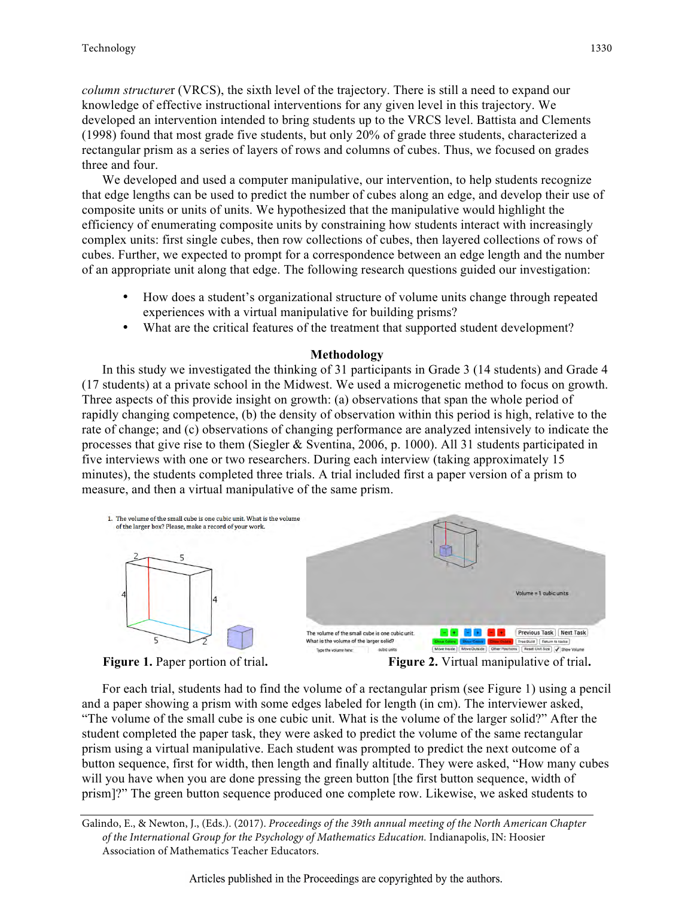*column structure*r (VRCS), the sixth level of the trajectory. There is still a need to expand our knowledge of effective instructional interventions for any given level in this trajectory. We developed an intervention intended to bring students up to the VRCS level. Battista and Clements (1998) found that most grade five students, but only 20% of grade three students, characterized a rectangular prism as a series of layers of rows and columns of cubes. Thus, we focused on grades three and four.

We developed and used a computer manipulative, our intervention, to help students recognize that edge lengths can be used to predict the number of cubes along an edge, and develop their use of composite units or units of units. We hypothesized that the manipulative would highlight the efficiency of enumerating composite units by constraining how students interact with increasingly complex units: first single cubes, then row collections of cubes, then layered collections of rows of cubes. Further, we expected to prompt for a correspondence between an edge length and the number of an appropriate unit along that edge. The following research questions guided our investigation:

- How does a student's organizational structure of volume units change through repeated experiences with a virtual manipulative for building prisms?
- What are the critical features of the treatment that supported student development?

## **Methodology**

In this study we investigated the thinking of 31 participants in Grade 3 (14 students) and Grade 4 (17 students) at a private school in the Midwest. We used a microgenetic method to focus on growth. Three aspects of this provide insight on growth: (a) observations that span the whole period of rapidly changing competence, (b) the density of observation within this period is high, relative to the rate of change; and (c) observations of changing performance are analyzed intensively to indicate the processes that give rise to them (Siegler & Sventina, 2006, p. 1000). All 31 students participated in five interviews with one or two researchers. During each interview (taking approximately 15 minutes), the students completed three trials. A trial included first a paper version of a prism to measure, and then a virtual manipulative of the same prism.



For each trial, students had to find the volume of a rectangular prism (see Figure 1) using a pencil and a paper showing a prism with some edges labeled for length (in cm). The interviewer asked, "The volume of the small cube is one cubic unit. What is the volume of the larger solid?" After the student completed the paper task, they were asked to predict the volume of the same rectangular prism using a virtual manipulative. Each student was prompted to predict the next outcome of a button sequence, first for width, then length and finally altitude. They were asked, "How many cubes will you have when you are done pressing the green button [the first button sequence, width of prism]?" The green button sequence produced one complete row. Likewise, we asked students to

Galindo, E., & Newton, J., (Eds.). (2017). *Proceedings of the 39th annual meeting of the North American Chapter of the International Group for the Psychology of Mathematics Education.* Indianapolis, IN: Hoosier Association of Mathematics Teacher Educators.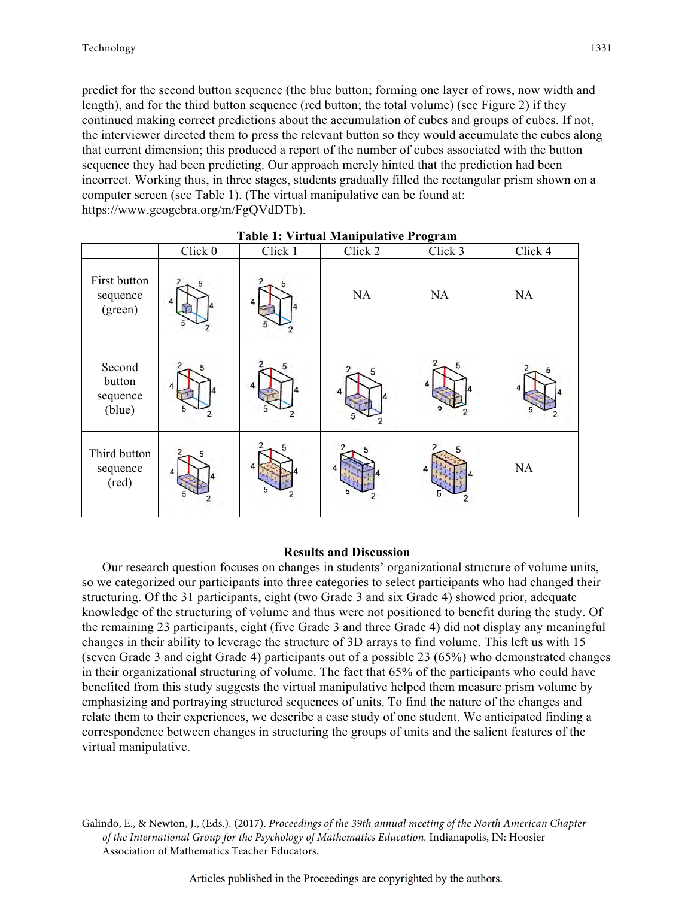predict for the second button sequence (the blue button; forming one layer of rows, now width and length), and for the third button sequence (red button; the total volume) (see Figure 2) if they continued making correct predictions about the accumulation of cubes and groups of cubes. If not, the interviewer directed them to press the relevant button so they would accumulate the cubes along that current dimension; this produced a report of the number of cubes associated with the button sequence they had been predicting. Our approach merely hinted that the prediction had been incorrect. Working thus, in three stages, students gradually filled the rectangular prism shown on a computer screen (see Table 1). (The virtual manipulative can be found at: https://www.geogebra.org/m/FgQVdDTb).

| Table 1. VII tuat Mampulative 1 rugi am |         |         |         |         |         |
|-----------------------------------------|---------|---------|---------|---------|---------|
|                                         | Click 0 | Click 1 | Click 2 | Click 3 | Click 4 |
| First button<br>sequence<br>(green)     | Δ       | 5       | NA      | NA      | NA      |
| Second<br>button<br>sequence<br>(blue)  |         |         |         |         |         |
| Third button<br>sequence<br>(red)       |         |         | 5       |         | NA      |

**Table 1: Virtual Manipulative Program** 

## **Results and Discussion**

Our research question focuses on changes in students' organizational structure of volume units, so we categorized our participants into three categories to select participants who had changed their structuring. Of the 31 participants, eight (two Grade 3 and six Grade 4) showed prior, adequate knowledge of the structuring of volume and thus were not positioned to benefit during the study. Of the remaining 23 participants, eight (five Grade 3 and three Grade 4) did not display any meaningful changes in their ability to leverage the structure of 3D arrays to find volume. This left us with 15 (seven Grade 3 and eight Grade 4) participants out of a possible 23 (65%) who demonstrated changes in their organizational structuring of volume. The fact that 65% of the participants who could have benefited from this study suggests the virtual manipulative helped them measure prism volume by emphasizing and portraying structured sequences of units. To find the nature of the changes and relate them to their experiences, we describe a case study of one student. We anticipated finding a correspondence between changes in structuring the groups of units and the salient features of the virtual manipulative.

Galindo, E., & Newton, J., (Eds.). (2017). *Proceedings of the 39th annual meeting of the North American Chapter of the International Group for the Psychology of Mathematics Education.* Indianapolis, IN: Hoosier Association of Mathematics Teacher Educators.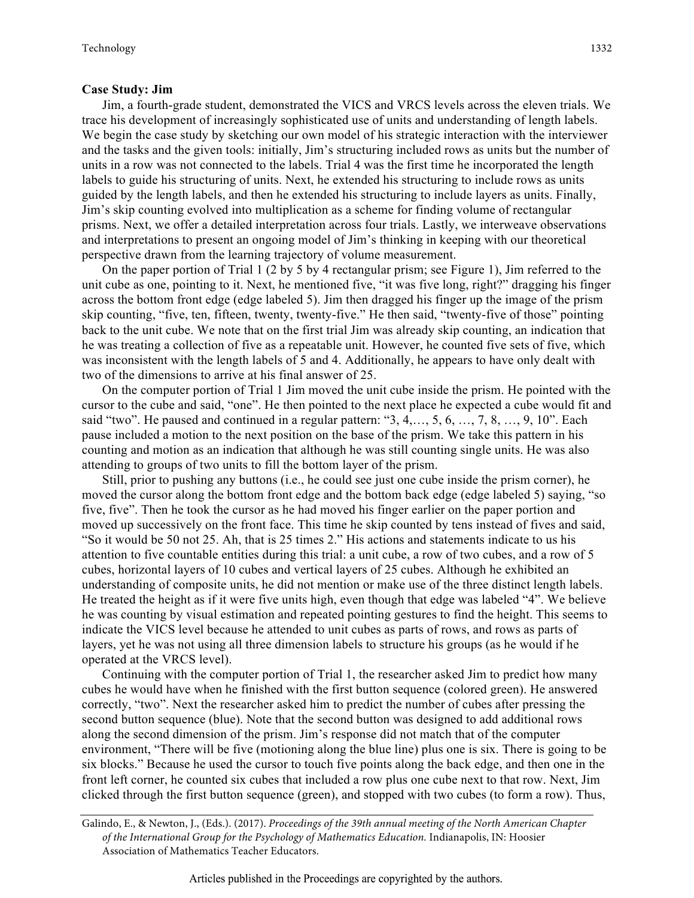#### **Case Study: Jim**

Jim, a fourth-grade student, demonstrated the VICS and VRCS levels across the eleven trials. We trace his development of increasingly sophisticated use of units and understanding of length labels. We begin the case study by sketching our own model of his strategic interaction with the interviewer and the tasks and the given tools: initially, Jim's structuring included rows as units but the number of units in a row was not connected to the labels. Trial 4 was the first time he incorporated the length labels to guide his structuring of units. Next, he extended his structuring to include rows as units guided by the length labels, and then he extended his structuring to include layers as units. Finally, Jim's skip counting evolved into multiplication as a scheme for finding volume of rectangular prisms. Next, we offer a detailed interpretation across four trials. Lastly, we interweave observations and interpretations to present an ongoing model of Jim's thinking in keeping with our theoretical perspective drawn from the learning trajectory of volume measurement.

On the paper portion of Trial 1 (2 by 5 by 4 rectangular prism; see Figure 1), Jim referred to the unit cube as one, pointing to it. Next, he mentioned five, "it was five long, right?" dragging his finger across the bottom front edge (edge labeled 5). Jim then dragged his finger up the image of the prism skip counting, "five, ten, fifteen, twenty, twenty-five." He then said, "twenty-five of those" pointing back to the unit cube. We note that on the first trial Jim was already skip counting, an indication that he was treating a collection of five as a repeatable unit. However, he counted five sets of five, which was inconsistent with the length labels of 5 and 4. Additionally, he appears to have only dealt with two of the dimensions to arrive at his final answer of 25.

On the computer portion of Trial 1 Jim moved the unit cube inside the prism. He pointed with the cursor to the cube and said, "one". He then pointed to the next place he expected a cube would fit and said "two". He paused and continued in a regular pattern: "3, 4,…, 5, 6, …, 7, 8, …, 9, 10". Each pause included a motion to the next position on the base of the prism. We take this pattern in his counting and motion as an indication that although he was still counting single units. He was also attending to groups of two units to fill the bottom layer of the prism.

Still, prior to pushing any buttons (i.e., he could see just one cube inside the prism corner), he moved the cursor along the bottom front edge and the bottom back edge (edge labeled 5) saying, "so five, five". Then he took the cursor as he had moved his finger earlier on the paper portion and moved up successively on the front face. This time he skip counted by tens instead of fives and said, "So it would be 50 not 25. Ah, that is 25 times 2." His actions and statements indicate to us his attention to five countable entities during this trial: a unit cube, a row of two cubes, and a row of 5 cubes, horizontal layers of 10 cubes and vertical layers of 25 cubes. Although he exhibited an understanding of composite units, he did not mention or make use of the three distinct length labels. He treated the height as if it were five units high, even though that edge was labeled "4". We believe he was counting by visual estimation and repeated pointing gestures to find the height. This seems to indicate the VICS level because he attended to unit cubes as parts of rows, and rows as parts of layers, yet he was not using all three dimension labels to structure his groups (as he would if he operated at the VRCS level).

Continuing with the computer portion of Trial 1, the researcher asked Jim to predict how many cubes he would have when he finished with the first button sequence (colored green). He answered correctly, "two". Next the researcher asked him to predict the number of cubes after pressing the second button sequence (blue). Note that the second button was designed to add additional rows along the second dimension of the prism. Jim's response did not match that of the computer environment, "There will be five (motioning along the blue line) plus one is six. There is going to be six blocks." Because he used the cursor to touch five points along the back edge, and then one in the front left corner, he counted six cubes that included a row plus one cube next to that row. Next, Jim clicked through the first button sequence (green), and stopped with two cubes (to form a row). Thus,

Galindo, E., & Newton, J., (Eds.). (2017). *Proceedings of the 39th annual meeting of the North American Chapter of the International Group for the Psychology of Mathematics Education.* Indianapolis, IN: Hoosier Association of Mathematics Teacher Educators.

1332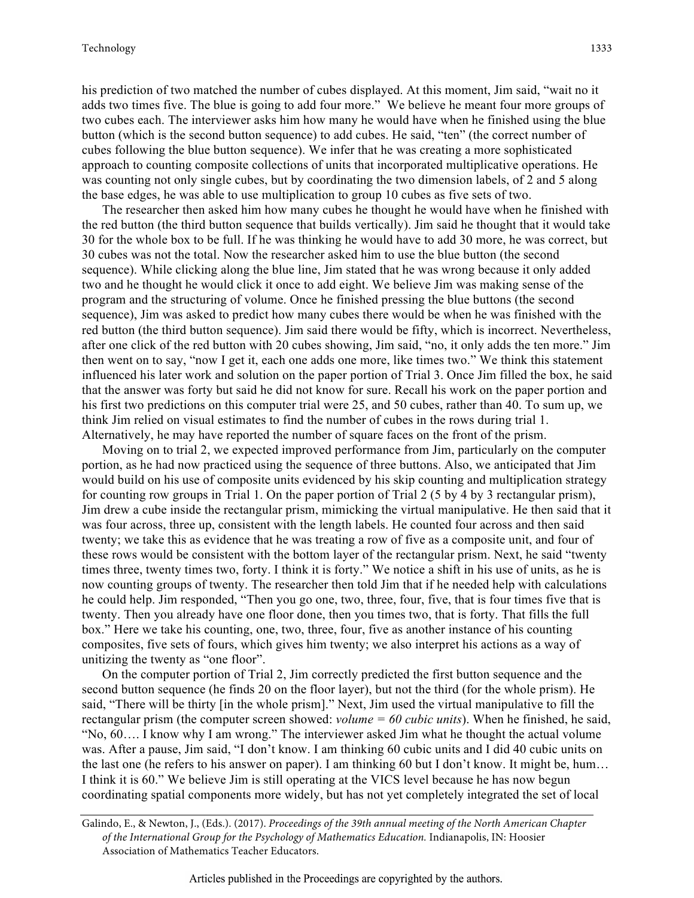his prediction of two matched the number of cubes displayed. At this moment, Jim said, "wait no it adds two times five. The blue is going to add four more." We believe he meant four more groups of two cubes each. The interviewer asks him how many he would have when he finished using the blue button (which is the second button sequence) to add cubes. He said, "ten" (the correct number of cubes following the blue button sequence). We infer that he was creating a more sophisticated approach to counting composite collections of units that incorporated multiplicative operations. He was counting not only single cubes, but by coordinating the two dimension labels, of 2 and 5 along the base edges, he was able to use multiplication to group 10 cubes as five sets of two.

The researcher then asked him how many cubes he thought he would have when he finished with the red button (the third button sequence that builds vertically). Jim said he thought that it would take 30 for the whole box to be full. If he was thinking he would have to add 30 more, he was correct, but 30 cubes was not the total. Now the researcher asked him to use the blue button (the second sequence). While clicking along the blue line, Jim stated that he was wrong because it only added two and he thought he would click it once to add eight. We believe Jim was making sense of the program and the structuring of volume. Once he finished pressing the blue buttons (the second sequence), Jim was asked to predict how many cubes there would be when he was finished with the red button (the third button sequence). Jim said there would be fifty, which is incorrect. Nevertheless, after one click of the red button with 20 cubes showing, Jim said, "no, it only adds the ten more." Jim then went on to say, "now I get it, each one adds one more, like times two." We think this statement influenced his later work and solution on the paper portion of Trial 3. Once Jim filled the box, he said that the answer was forty but said he did not know for sure. Recall his work on the paper portion and his first two predictions on this computer trial were 25, and 50 cubes, rather than 40. To sum up, we think Jim relied on visual estimates to find the number of cubes in the rows during trial 1. Alternatively, he may have reported the number of square faces on the front of the prism.

Moving on to trial 2, we expected improved performance from Jim, particularly on the computer portion, as he had now practiced using the sequence of three buttons. Also, we anticipated that Jim would build on his use of composite units evidenced by his skip counting and multiplication strategy for counting row groups in Trial 1. On the paper portion of Trial 2 (5 by 4 by 3 rectangular prism), Jim drew a cube inside the rectangular prism, mimicking the virtual manipulative. He then said that it was four across, three up, consistent with the length labels. He counted four across and then said twenty; we take this as evidence that he was treating a row of five as a composite unit, and four of these rows would be consistent with the bottom layer of the rectangular prism. Next, he said "twenty times three, twenty times two, forty. I think it is forty." We notice a shift in his use of units, as he is now counting groups of twenty. The researcher then told Jim that if he needed help with calculations he could help. Jim responded, "Then you go one, two, three, four, five, that is four times five that is twenty. Then you already have one floor done, then you times two, that is forty. That fills the full box." Here we take his counting, one, two, three, four, five as another instance of his counting composites, five sets of fours, which gives him twenty; we also interpret his actions as a way of unitizing the twenty as "one floor".

On the computer portion of Trial 2, Jim correctly predicted the first button sequence and the second button sequence (he finds 20 on the floor layer), but not the third (for the whole prism). He said, "There will be thirty [in the whole prism]." Next, Jim used the virtual manipulative to fill the rectangular prism (the computer screen showed: *volume = 60 cubic units*). When he finished, he said, "No, 60…. I know why I am wrong." The interviewer asked Jim what he thought the actual volume was. After a pause, Jim said, "I don't know. I am thinking 60 cubic units and I did 40 cubic units on the last one (he refers to his answer on paper). I am thinking 60 but I don't know. It might be, hum… I think it is 60." We believe Jim is still operating at the VICS level because he has now begun coordinating spatial components more widely, but has not yet completely integrated the set of local

Galindo, E., & Newton, J., (Eds.). (2017). *Proceedings of the 39th annual meeting of the North American Chapter of the International Group for the Psychology of Mathematics Education.* Indianapolis, IN: Hoosier Association of Mathematics Teacher Educators.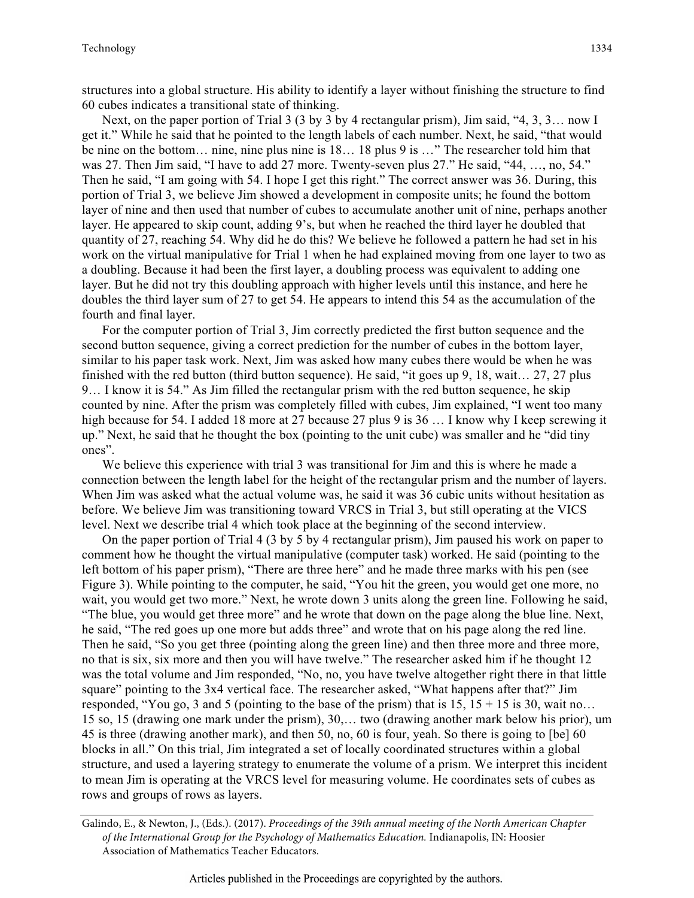structures into a global structure. His ability to identify a layer without finishing the structure to find 60 cubes indicates a transitional state of thinking.

Next, on the paper portion of Trial 3 (3 by 3 by 4 rectangular prism), Jim said, "4, 3, 3… now I get it." While he said that he pointed to the length labels of each number. Next, he said, "that would be nine on the bottom… nine, nine plus nine is 18… 18 plus 9 is …" The researcher told him that was 27. Then Jim said, "I have to add 27 more. Twenty-seven plus 27." He said, "44, …, no, 54." Then he said, "I am going with 54. I hope I get this right." The correct answer was 36. During, this portion of Trial 3, we believe Jim showed a development in composite units; he found the bottom layer of nine and then used that number of cubes to accumulate another unit of nine, perhaps another layer. He appeared to skip count, adding 9's, but when he reached the third layer he doubled that quantity of 27, reaching 54. Why did he do this? We believe he followed a pattern he had set in his work on the virtual manipulative for Trial 1 when he had explained moving from one layer to two as a doubling. Because it had been the first layer, a doubling process was equivalent to adding one layer. But he did not try this doubling approach with higher levels until this instance, and here he doubles the third layer sum of 27 to get 54. He appears to intend this 54 as the accumulation of the fourth and final layer.

For the computer portion of Trial 3, Jim correctly predicted the first button sequence and the second button sequence, giving a correct prediction for the number of cubes in the bottom layer, similar to his paper task work. Next, Jim was asked how many cubes there would be when he was finished with the red button (third button sequence). He said, "it goes up 9, 18, wait… 27, 27 plus 9… I know it is 54." As Jim filled the rectangular prism with the red button sequence, he skip counted by nine. After the prism was completely filled with cubes, Jim explained, "I went too many high because for 54. I added 18 more at 27 because 27 plus 9 is 36 ... I know why I keep screwing it up." Next, he said that he thought the box (pointing to the unit cube) was smaller and he "did tiny ones".

We believe this experience with trial 3 was transitional for Jim and this is where he made a connection between the length label for the height of the rectangular prism and the number of layers. When Jim was asked what the actual volume was, he said it was 36 cubic units without hesitation as before. We believe Jim was transitioning toward VRCS in Trial 3, but still operating at the VICS level. Next we describe trial 4 which took place at the beginning of the second interview.

On the paper portion of Trial 4 (3 by 5 by 4 rectangular prism), Jim paused his work on paper to comment how he thought the virtual manipulative (computer task) worked. He said (pointing to the left bottom of his paper prism), "There are three here" and he made three marks with his pen (see Figure 3). While pointing to the computer, he said, "You hit the green, you would get one more, no wait, you would get two more." Next, he wrote down 3 units along the green line. Following he said, "The blue, you would get three more" and he wrote that down on the page along the blue line. Next, he said, "The red goes up one more but adds three" and wrote that on his page along the red line. Then he said, "So you get three (pointing along the green line) and then three more and three more, no that is six, six more and then you will have twelve." The researcher asked him if he thought 12 was the total volume and Jim responded, "No, no, you have twelve altogether right there in that little square" pointing to the 3x4 vertical face. The researcher asked, "What happens after that?" Jim responded, "You go, 3 and 5 (pointing to the base of the prism) that is  $15$ ,  $15 + 15$  is 30, wait no... 15 so, 15 (drawing one mark under the prism), 30,… two (drawing another mark below his prior), um 45 is three (drawing another mark), and then 50, no, 60 is four, yeah. So there is going to [be] 60 blocks in all." On this trial, Jim integrated a set of locally coordinated structures within a global structure, and used a layering strategy to enumerate the volume of a prism. We interpret this incident to mean Jim is operating at the VRCS level for measuring volume. He coordinates sets of cubes as rows and groups of rows as layers.

Galindo, E., & Newton, J., (Eds.). (2017). *Proceedings of the 39th annual meeting of the North American Chapter of the International Group for the Psychology of Mathematics Education.* Indianapolis, IN: Hoosier Association of Mathematics Teacher Educators.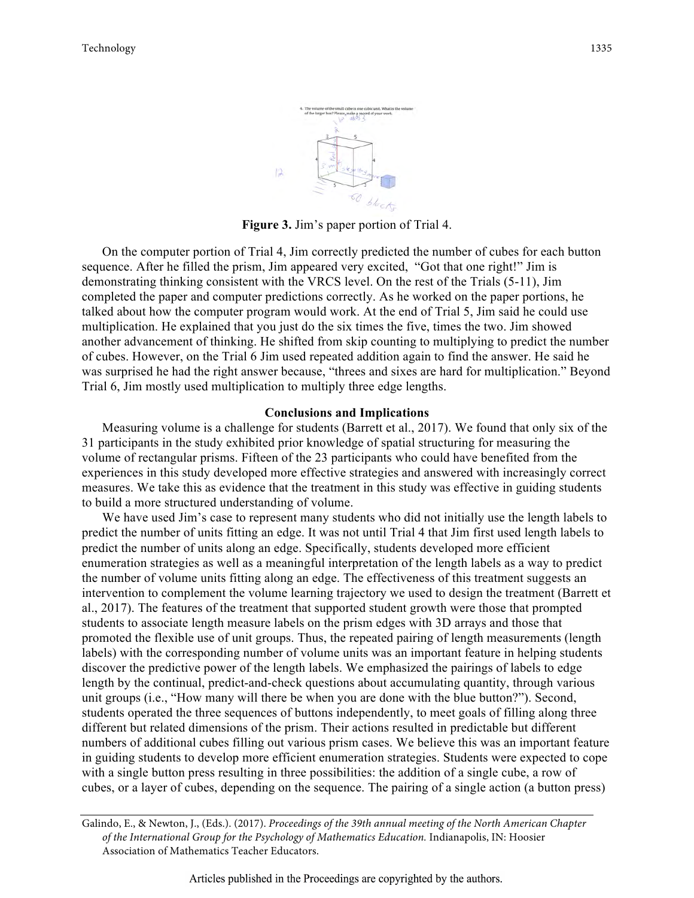

**Figure 3.** Jim's paper portion of Trial 4.

On the computer portion of Trial 4, Jim correctly predicted the number of cubes for each button sequence. After he filled the prism, Jim appeared very excited, "Got that one right!" Jim is demonstrating thinking consistent with the VRCS level. On the rest of the Trials (5-11), Jim completed the paper and computer predictions correctly. As he worked on the paper portions, he talked about how the computer program would work. At the end of Trial 5, Jim said he could use multiplication. He explained that you just do the six times the five, times the two. Jim showed another advancement of thinking. He shifted from skip counting to multiplying to predict the number of cubes. However, on the Trial 6 Jim used repeated addition again to find the answer. He said he was surprised he had the right answer because, "threes and sixes are hard for multiplication." Beyond Trial 6, Jim mostly used multiplication to multiply three edge lengths.

#### **Conclusions and Implications**

Measuring volume is a challenge for students (Barrett et al., 2017). We found that only six of the 31 participants in the study exhibited prior knowledge of spatial structuring for measuring the volume of rectangular prisms. Fifteen of the 23 participants who could have benefited from the experiences in this study developed more effective strategies and answered with increasingly correct measures. We take this as evidence that the treatment in this study was effective in guiding students to build a more structured understanding of volume.

We have used Jim's case to represent many students who did not initially use the length labels to predict the number of units fitting an edge. It was not until Trial 4 that Jim first used length labels to predict the number of units along an edge. Specifically, students developed more efficient enumeration strategies as well as a meaningful interpretation of the length labels as a way to predict the number of volume units fitting along an edge. The effectiveness of this treatment suggests an intervention to complement the volume learning trajectory we used to design the treatment (Barrett et al., 2017). The features of the treatment that supported student growth were those that prompted students to associate length measure labels on the prism edges with 3D arrays and those that promoted the flexible use of unit groups. Thus, the repeated pairing of length measurements (length labels) with the corresponding number of volume units was an important feature in helping students discover the predictive power of the length labels. We emphasized the pairings of labels to edge length by the continual, predict-and-check questions about accumulating quantity, through various unit groups (i.e., "How many will there be when you are done with the blue button?"). Second, students operated the three sequences of buttons independently, to meet goals of filling along three different but related dimensions of the prism. Their actions resulted in predictable but different numbers of additional cubes filling out various prism cases. We believe this was an important feature in guiding students to develop more efficient enumeration strategies. Students were expected to cope with a single button press resulting in three possibilities: the addition of a single cube, a row of cubes, or a layer of cubes, depending on the sequence. The pairing of a single action (a button press)

Galindo, E., & Newton, J., (Eds.). (2017). *Proceedings of the 39th annual meeting of the North American Chapter of the International Group for the Psychology of Mathematics Education.* Indianapolis, IN: Hoosier Association of Mathematics Teacher Educators.